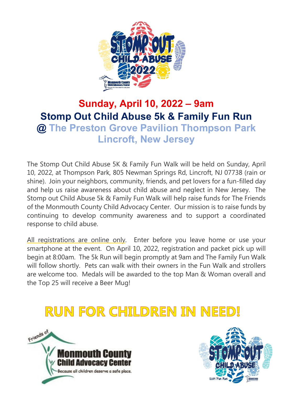

## **Sunday, April 10, 2022 – 9am Stomp Out Child Abuse 5k & Family Fun Run @ The Preston Grove Pavilion Thompson Park Lincroft, New Jersey**

The Stomp Out Child Abuse 5K & Family Fun Walk will be held on Sunday, April 10, 2022, at Thompson Park, 805 Newman Springs Rd, Lincroft, NJ 07738 (rain or shine). Join your neighbors, community, friends, and pet lovers for a fun-filled day and help us raise awareness about child abuse and neglect in New Jersey. The Stomp out Child Abuse 5k & Family Fun Walk will help raise funds for The Friends of the Monmouth County Child Advocacy Center. Our mission is to raise funds by continuing to develop community awareness and to support a coordinated response to child abuse.

All registrations are online only. Enter before you leave home or use your smartphone at the event. On April 10, 2022, registration and packet pick up will begin at 8:00am. The 5k Run will begin promptly at 9am and The Family Fun Walk will follow shortly. Pets can walk with their owners in the Fun Walk and strollers are welcome too. Medals will be awarded to the top Man & Woman overall and the Top 25 will receive a Beer Mug!

## **RUN FOR CHILDREN IN NEED!**



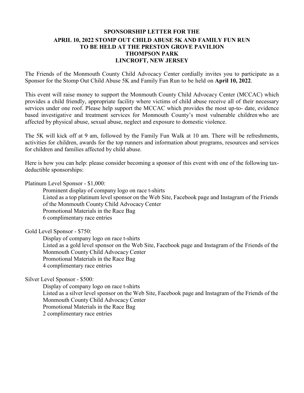## **SPONSORSHIP LETTER FOR THE APRIL 10, 2022 STOMP OUT CHILD ABUSE 5K AND FAMILY FUN RUN TO BE HELD AT THE PRESTON GROVE PAVILION THOMPSON PARK LINCROFT, NEW JERSEY**

The Friends of the Monmouth County Child Advocacy Center cordially invites you to participate as a Sponsor for the Stomp Out Child Abuse 5K and Family Fun Run to be held on **April 10, 2022**.

This event will raise money to support the Monmouth County Child Advocacy Center (MCCAC) which provides a child friendly, appropriate facility where victims of child abuse receive all of their necessary services under one roof. Please help support the MCCAC which provides the most up-to- date, evidence based investigative and treatment services for Monmouth County's most vulnerable children who are affected by physical abuse, sexual abuse, neglect and exposure to domestic violence.

The 5K will kick off at 9 am, followed by the Family Fun Walk at 10 am. There will be refreshments, activities for children, awards for the top runners and information about programs, resources and services for children and families affected by child abuse.

Here is how you can help: please consider becoming a sponsor of this event with one of the following taxdeductible sponsorships:

Platinum Level Sponsor - \$1,000:

Prominent display of company logo on race t-shirts Listed as a top platinum level sponsor on the Web Site, Facebook page and Instagram of the Friends of the Monmouth County Child Advocacy Center Promotional Materials in the Race Bag 6 complimentary race entries

Gold Level Sponsor - \$750:

Display of company logo on race t-shirts Listed as a gold level sponsor on the Web Site, Facebook page and Instagram of the Friends of the Monmouth County Child Advocacy Center Promotional Materials in the Race Bag 4 complimentary race entries

Silver Level Sponsor - \$500:

Display of company logo on race t-shirts Listed as a silver level sponsor on the Web Site, Facebook page and Instagram of the Friends of the Monmouth County Child Advocacy Center Promotional Materials in the Race Bag 2 complimentary race entries